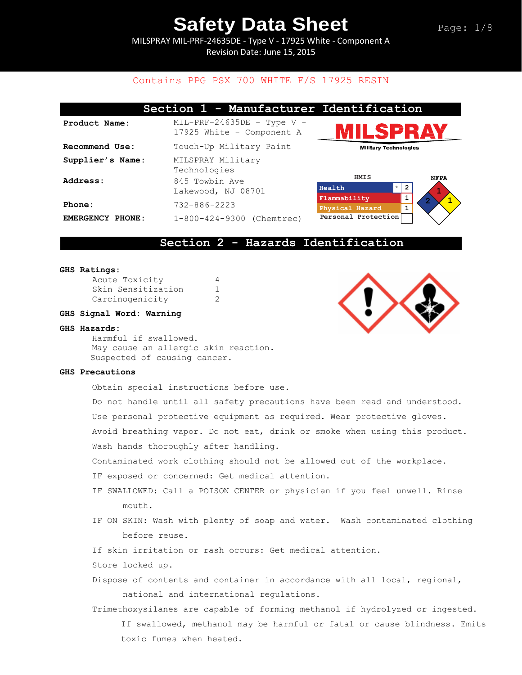MILSPRAY MIL-PRF-24635DE - Type V - 17925 White - Component A Revision Date: June 15, 2015

## Contains PPG PSX 700 WHITE F/S 17925 RESIN

|                  | Section 1 - Manufacturer Identification                   |                              |             |
|------------------|-----------------------------------------------------------|------------------------------|-------------|
| Product Name:    | $MIL-PRF-24635DE$ - Type V -<br>17925 White - Component A |                              | ILSPRAY     |
| Recommend Use:   | Touch-Up Military Paint                                   | <b>Military Technologies</b> |             |
| Supplier's Name: | MILSPRAY Military<br>Technologies                         |                              |             |
| Address:         | 845 Towbin Ave                                            | HMIS                         | <b>NFPA</b> |
|                  | Lakewood, NJ 08701                                        | $\star$<br>Health            | $^1$ 2      |
|                  |                                                           | Flammability                 |             |
| Phone:           | $732 - 886 - 2223$                                        | Physical Hazard              |             |
| EMERGENCY PHONE: | $1-800-424-9300$ (Chemtrec)                               | Personal Protection          |             |

## **Section 2 - Hazards Identification**

#### **GHS Ratings:**

| Acute Toxicity     |              |
|--------------------|--------------|
| Skin Sensitization | $\mathbf{1}$ |
| Carcinogenicity    | 2            |

### **GHS Signal Word: Warning**

### **GHS Hazards:**

Harmful if swallowed. May cause an allergic skin reaction. Suspected of causing cancer.

### **GHS Precautions**

Obtain special instructions before use.

Do not handle until all safety precautions have been read and understood.

Use personal protective equipment as required. Wear protective gloves.

Avoid breathing vapor. Do not eat, drink or smoke when using this product. Wash hands thoroughly after handling.

Contaminated work clothing should not be allowed out of the workplace.

- IF exposed or concerned: Get medical attention.
- IF SWALLOWED: Call a POISON CENTER or physician if you feel unwell. Rinse mouth.
- IF ON SKIN: Wash with plenty of soap and water. Wash contaminated clothing before reuse.
- If skin irritation or rash occurs: Get medical attention.
- Store locked up.
- Dispose of contents and container in accordance with all local, regional, national and international regulations.
- Trimethoxysilanes are capable of forming methanol if hydrolyzed or ingested. If swallowed, methanol may be harmful or fatal or cause blindness. Emits toxic fumes when heated.

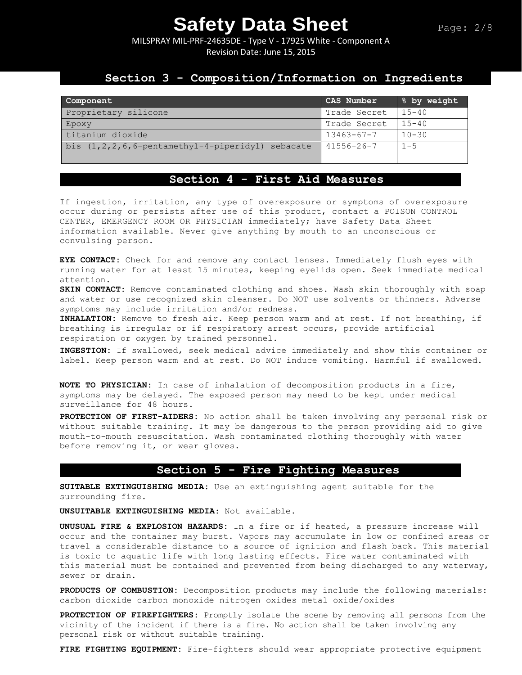MILSPRAY MIL-PRF-24635DE - Type V - 17925 White - Component A Revision Date: June 15, 2015

### **Section 3 - Composition/Information on Ingredients**

| Component                                                  | CAS Number       | % by weight |
|------------------------------------------------------------|------------------|-------------|
| Proprietary silicone                                       | Trade Secret     | $15 - 40$   |
| Epoxy                                                      | Trade Secret     | $15 - 40$   |
| titanium dioxide                                           | $13463 - 67 - 7$ | $10 - 30$   |
| bis $(1, 2, 2, 6, 6$ -pentamethyl-4-piperidyl)<br>sebacate | $41556 - 26 - 7$ | $1 - 5$     |

### **Section 4 - First Aid Measures**

If ingestion, irritation, any type of overexposure or symptoms of overexposure occur during or persists after use of this product, contact a POISON CONTROL CENTER, EMERGENCY ROOM OR PHYSICIAN immediately; have Safety Data Sheet information available. Never give anything by mouth to an unconscious or convulsing person.

**EYE CONTACT:** Check for and remove any contact lenses. Immediately flush eyes with running water for at least 15 minutes, keeping eyelids open. Seek immediate medical attention.

**SKIN CONTACT:** Remove contaminated clothing and shoes. Wash skin thoroughly with soap and water or use recognized skin cleanser. Do NOT use solvents or thinners. Adverse symptoms may include irritation and/or redness.

**INHALATION:** Remove to fresh air. Keep person warm and at rest. If not breathing, if breathing is irregular or if respiratory arrest occurs, provide artificial respiration or oxygen by trained personnel.

**INGESTION:** If swallowed, seek medical advice immediately and show this container or label. Keep person warm and at rest. Do NOT induce vomiting. Harmful if swallowed.

**NOTE TO PHYSICIAN:** In case of inhalation of decomposition products in a fire, symptoms may be delayed. The exposed person may need to be kept under medical surveillance for 48 hours.

**PROTECTION OF FIRST-AIDERS:** No action shall be taken involving any personal risk or without suitable training. It may be dangerous to the person providing aid to give mouth-to-mouth resuscitation. Wash contaminated clothing thoroughly with water before removing it, or wear gloves.

## **Section 5 - Fire Fighting Measures**

**SUITABLE EXTINGUISHING MEDIA:** Use an extinguishing agent suitable for the surrounding fire.

**UNSUITABLE EXTINGUISHING MEDIA:** Not available.

**UNUSUAL FIRE & EXPLOSION HAZARDS:** In a fire or if heated, a pressure increase will occur and the container may burst. Vapors may accumulate in low or confined areas or travel a considerable distance to a source of ignition and flash back. This material is toxic to aquatic life with long lasting effects. Fire water contaminated with this material must be contained and prevented from being discharged to any waterway, sewer or drain.

**PRODUCTS OF COMBUSTION:** Decomposition products may include the following materials: carbon dioxide carbon monoxide nitrogen oxides metal oxide/oxides

**PROTECTION OF FIREFIGHTERS:** Promptly isolate the scene by removing all persons from the vicinity of the incident if there is a fire. No action shall be taken involving any personal risk or without suitable training.

**FIRE FIGHTING EQUIPMENT:** Fire-fighters should wear appropriate protective equipment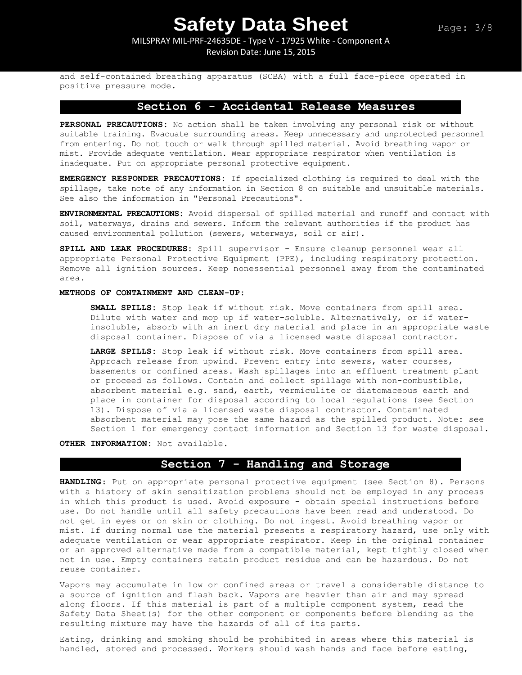MILSPRAY MIL-PRF-24635DE - Type V - 17925 White - Component A

Revision Date: June 15, 2015

and self-contained breathing apparatus (SCBA) with a full face-piece operated in positive pressure mode.

### **Section 6 - Accidental Release Measures**

**PERSONAL PRECAUTIONS:** No action shall be taken involving any personal risk or without suitable training. Evacuate surrounding areas. Keep unnecessary and unprotected personnel from entering. Do not touch or walk through spilled material. Avoid breathing vapor or mist. Provide adequate ventilation. Wear appropriate respirator when ventilation is inadequate. Put on appropriate personal protective equipment.

**EMERGENCY RESPONDER PRECAUTIONS:** If specialized clothing is required to deal with the spillage, take note of any information in Section 8 on suitable and unsuitable materials. See also the information in "Personal Precautions".

**ENVIRONMENTAL PRECAUTIONS:** Avoid dispersal of spilled material and runoff and contact with soil, waterways, drains and sewers. Inform the relevant authorities if the product has caused environmental pollution (sewers, waterways, soil or air).

**SPILL AND LEAK PROCEDURES:** Spill supervisor - Ensure cleanup personnel wear all appropriate Personal Protective Equipment (PPE), including respiratory protection. Remove all ignition sources. Keep nonessential personnel away from the contaminated area.

### **METHODS OF CONTAINMENT AND CLEAN-UP:**

**SMALL SPILLS:** Stop leak if without risk. Move containers from spill area. Dilute with water and mop up if water-soluble. Alternatively, or if waterinsoluble, absorb with an inert dry material and place in an appropriate waste disposal container. Dispose of via a licensed waste disposal contractor.

**LARGE SPILLS:** Stop leak if without risk. Move containers from spill area. Approach release from upwind. Prevent entry into sewers, water courses, basements or confined areas. Wash spillages into an effluent treatment plant or proceed as follows. Contain and collect spillage with non-combustible, absorbent material e.g. sand, earth, vermiculite or diatomaceous earth and place in container for disposal according to local regulations (see Section 13). Dispose of via a licensed waste disposal contractor. Contaminated absorbent material may pose the same hazard as the spilled product. Note: see Section 1 for emergency contact information and Section 13 for waste disposal.

**OTHER INFORMATION:** Not available.

### **Section 7 - Handling and Storage**

**HANDLING**: Put on appropriate personal protective equipment (see Section 8). Persons with a history of skin sensitization problems should not be employed in any process in which this product is used. Avoid exposure - obtain special instructions before use. Do not handle until all safety precautions have been read and understood. Do not get in eyes or on skin or clothing. Do not ingest. Avoid breathing vapor or mist. If during normal use the material presents a respiratory hazard, use only with adequate ventilation or wear appropriate respirator. Keep in the original container or an approved alternative made from a compatible material, kept tightly closed when not in use. Empty containers retain product residue and can be hazardous. Do not reuse container.

Vapors may accumulate in low or confined areas or travel a considerable distance to a source of ignition and flash back. Vapors are heavier than air and may spread along floors. If this material is part of a multiple component system, read the Safety Data Sheet(s) for the other component or components before blending as the resulting mixture may have the hazards of all of its parts.

Eating, drinking and smoking should be prohibited in areas where this material is handled, stored and processed. Workers should wash hands and face before eating,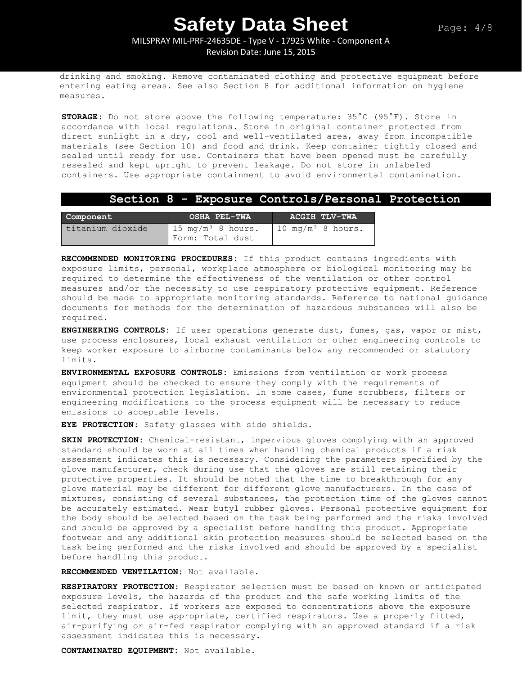### MILSPRAY MIL-PRF-24635DE - Type V - 17925 White - Component A Revision Date: June 15, 2015

drinking and smoking. Remove contaminated clothing and protective equipment before entering eating areas. See also Section 8 for additional information on hygiene measures.

**STORAGE:** Do not store above the following temperature: 35°C (95°F). Store in accordance with local regulations. Store in original container protected from direct sunlight in a dry, cool and well-ventilated area, away from incompatible materials (see Section 10) and food and drink. Keep container tightly closed and sealed until ready for use. Containers that have been opened must be carefully resealed and kept upright to prevent leakage. Do not store in unlabeled containers. Use appropriate containment to avoid environmental contamination.

### **Section 8 - Exposure Controls/Personal Protection**

| Component        | OSHA PEL-TWA                                      | ACGIH TLV-TWA                |
|------------------|---------------------------------------------------|------------------------------|
| titanium dioxide | 15 mg/m <sup>3</sup> 8 hours.<br>Form: Total dust | $10 \text{ mg/m}^3$ 8 hours. |

**RECOMMENDED MONITORING PROCEDURES:** If this product contains ingredients with exposure limits, personal, workplace atmosphere or biological monitoring may be required to determine the effectiveness of the ventilation or other control measures and/or the necessity to use respiratory protective equipment. Reference should be made to appropriate monitoring standards. Reference to national guidance documents for methods for the determination of hazardous substances will also be required.

**ENGINEERING CONTROLS:** If user operations generate dust, fumes, gas, vapor or mist, use process enclosures, local exhaust ventilation or other engineering controls to keep worker exposure to airborne contaminants below any recommended or statutory limits.

**ENVIRONMENTAL EXPOSURE CONTROLS:** Emissions from ventilation or work process equipment should be checked to ensure they comply with the requirements of environmental protection legislation. In some cases, fume scrubbers, filters or engineering modifications to the process equipment will be necessary to reduce emissions to acceptable levels.

**EYE PROTECTION**: Safety glasses with side shields.

**SKIN PROTECTION:** Chemical-resistant, impervious gloves complying with an approved standard should be worn at all times when handling chemical products if a risk assessment indicates this is necessary. Considering the parameters specified by the glove manufacturer, check during use that the gloves are still retaining their protective properties. It should be noted that the time to breakthrough for any glove material may be different for different glove manufacturers. In the case of mixtures, consisting of several substances, the protection time of the gloves cannot be accurately estimated. Wear butyl rubber gloves. Personal protective equipment for the body should be selected based on the task being performed and the risks involved and should be approved by a specialist before handling this product. Appropriate footwear and any additional skin protection measures should be selected based on the task being performed and the risks involved and should be approved by a specialist before handling this product.

**RECOMMENDED VENTILATION:** Not available.

**RESPIRATORY PROTECTION**: Respirator selection must be based on known or anticipated exposure levels, the hazards of the product and the safe working limits of the selected respirator. If workers are exposed to concentrations above the exposure limit, they must use appropriate, certified respirators. Use a properly fitted, air-purifying or air-fed respirator complying with an approved standard if a risk assessment indicates this is necessary.

**CONTAMINATED EQUIPMENT:** Not available.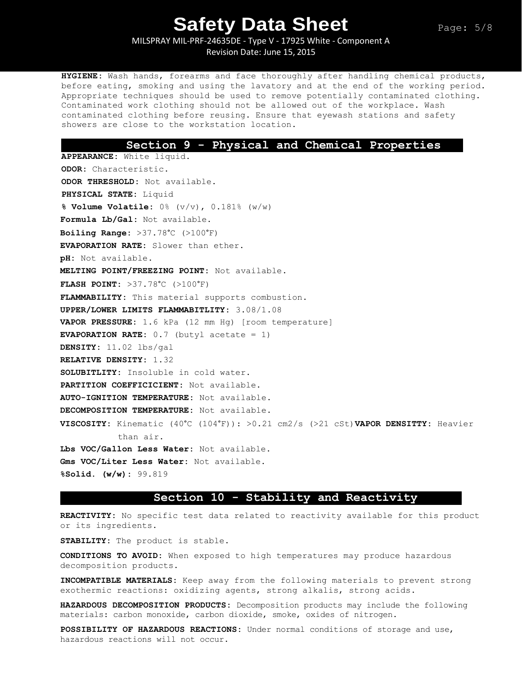MILSPRAY MIL-PRF-24635DE - Type V - 17925 White - Component A Revision Date: June 15, 2015

**HYGIENE:** Wash hands, forearms and face thoroughly after handling chemical products, before eating, smoking and using the lavatory and at the end of the working period. Appropriate techniques should be used to remove potentially contaminated clothing. Contaminated work clothing should not be allowed out of the workplace. Wash contaminated clothing before reusing. Ensure that eyewash stations and safety showers are close to the workstation location.

### **Section 9 - Physical and Chemical Properties**

**APPEARANCE:** White liquid. **ODOR:** Characteristic. **ODOR THRESHOLD:** Not available. **PHYSICAL STATE:** Liquid **% Volume Volatile:** 0% (v/v), 0.181% (w/w) **Formula Lb/Gal:** Not available. **Boiling Range:** >37.78°C (>100°F) **EVAPORATION RATE:** Slower than ether. **pH:** Not available. **MELTING POINT/FREEZING POINT:** Not available. **FLASH POINT:** >37.78°C (>100°F) **FLAMMABILITY:** This material supports combustion. **UPPER/LOWER LIMITS FLAMMABITLITY:** 3.08/1.08 **VAPOR PRESSURE:** 1.6 kPa (12 mm Hg) [room temperature] **EVAPORATION RATE:**  $0.7$  (butyl acetate = 1) **DENSITY:** 11.02 lbs/gal **RELATIVE DENSITY:** 1.32 **SOLUBITLITY:** Insoluble in cold water. **PARTITION COEFFICICIENT:** Not available. **AUTO-IGNITION TEMPERATURE:** Not available. **DECOMPOSITION TEMPERATURE:** Not available. **VISCOSITY:** Kinematic (40°C (104°F)): >0.21 cm2/s (>21 cSt)**VAPOR DENSITTY:** Heavier than air. **Lbs VOC/Gallon Less Water:** Not available. **Gms VOC/Liter Less Water:** Not available. **%Solid. (w/w):** 99.819

### **Section 10 - Stability and Reactivity**

**REACTIVITY:** No specific test data related to reactivity available for this product or its ingredients.

**STABILITY:** The product is stable.

**CONDITIONS TO AVOID:** When exposed to high temperatures may produce hazardous decomposition products.

**INCOMPATIBLE MATERIALS:** Keep away from the following materials to prevent strong exothermic reactions: oxidizing agents, strong alkalis, strong acids.

**HAZARDOUS DECOMPOSITION PRODUCTS:** Decomposition products may include the following materials: carbon monoxide, carbon dioxide, smoke, oxides of nitrogen**.**

**POSSIBILITY OF HAZARDOUS REACTIONS:** Under normal conditions of storage and use, hazardous reactions will not occur.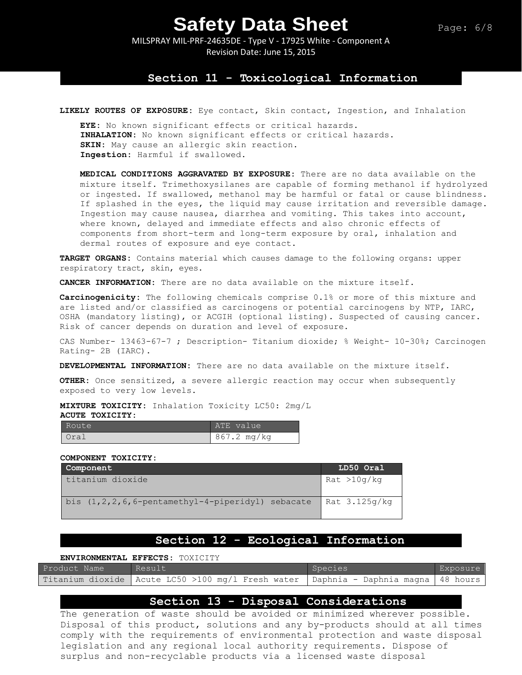MILSPRAY MIL-PRF-24635DE - Type V - 17925 White - Component A Revision Date: June 15, 2015

### **Section 11 - Toxicological Information**

**LIKELY ROUTES OF EXPOSURE:** Eye contact, Skin contact, Ingestion, and Inhalation

**EYE:** No known significant effects or critical hazards. **INHALATION:** No known significant effects or critical hazards. **SKIN:** May cause an allergic skin reaction. **Ingestion:** Harmful if swallowed.

**MEDICAL CONDITIONS AGGRAVATED BY EXPOSURE:** There are no data available on the mixture itself. Trimethoxysilanes are capable of forming methanol if hydrolyzed or ingested. If swallowed, methanol may be harmful or fatal or cause blindness. If splashed in the eyes, the liquid may cause irritation and reversible damage. Ingestion may cause nausea, diarrhea and vomiting. This takes into account, where known, delayed and immediate effects and also chronic effects of components from short-term and long-term exposure by oral, inhalation and dermal routes of exposure and eye contact.

**TARGET ORGANS:** Contains material which causes damage to the following organs: upper respiratory tract, skin, eyes.

**CANCER INFORMATION:** There are no data available on the mixture itself.

**Carcinogenicity:** The following chemicals comprise 0.1% or more of this mixture and are listed and/or classified as carcinogens or potential carcinogens by NTP, IARC, OSHA (mandatory listing), or ACGIH (optional listing). Suspected of causing cancer. Risk of cancer depends on duration and level of exposure.

CAS Number- 13463-67-7 ; Description- Titanium dioxide; % Weight- 10-30%; Carcinogen Rating- 2B (IARC).

**DEVELOPMENTAL INFORMATION:** There are no data available on the mixture itself.

**OTHER:** Once sensitized, a severe allergic reaction may occur when subsequently exposed to very low levels.

**MIXTURE TOXICITY:** Inhalation Toxicity LC50: 2mg/L

#### **ACUTE TOXICITY:**

| Route   | ATE value   |
|---------|-------------|
| $O$ rai | 867.2 mg/kg |

### **COMPONENT TOXICITY:**

| Component                                               | LD50 Oral       |
|---------------------------------------------------------|-----------------|
| I titanium dioxide                                      | Rat >10q/kq     |
| bis $(1, 2, 2, 6, 6$ -pentamethyl-4-piperidyl) sebacate | $Rat$ 3.125g/kg |

## **Section 12 - Ecological Information**

### **ENVIRONMENTAL EFFECTS:** TOXICITY

| Product Name | Result                                                                                   | Species | Exposure |
|--------------|------------------------------------------------------------------------------------------|---------|----------|
|              | Titanium dioxide   Acute LC50 >100 mg/l Fresh water   Daphnia - Daphnia magna   48 hours |         |          |

## **Section 13 - Disposal Considerations**

The generation of waste should be avoided or minimized wherever possible. Disposal of this product, solutions and any by-products should at all times comply with the requirements of environmental protection and waste disposal legislation and any regional local authority requirements. Dispose of surplus and non-recyclable products via a licensed waste disposal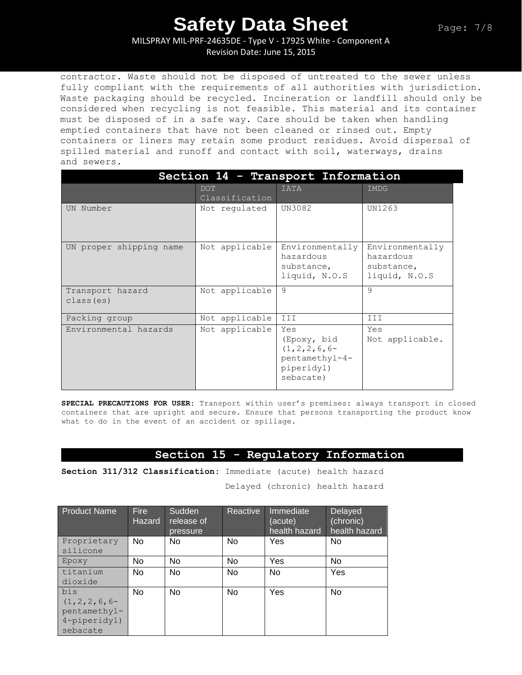MILSPRAY MIL-PRF-24635DE - Type V - 17925 White - Component A

Revision Date: June 15, 2015

contractor. Waste should not be disposed of untreated to the sewer unless fully compliant with the requirements of all authorities with jurisdiction. Waste packaging should be recycled. Incineration or landfill should only be considered when recycling is not feasible. This material and its container must be disposed of in a safe way. Care should be taken when handling emptied containers that have not been cleaned or rinsed out. Empty containers or liners may retain some product residues. Avoid dispersal of spilled material and runoff and contact with soil, waterways, drains and sewers.

| Section 14 - Transport Information |                              |                                                                                      |                                                             |  |
|------------------------------------|------------------------------|--------------------------------------------------------------------------------------|-------------------------------------------------------------|--|
|                                    | <b>DOT</b><br>Classification | <b>IATA</b>                                                                          | IMDG                                                        |  |
| UN Number                          | Not requlated                | UN3082                                                                               | UN1263                                                      |  |
| UN proper shipping name            | Not applicable               | Environmentally<br>hazardous<br>substance,<br>liquid, N.O.S                          | Environmentally<br>hazardous<br>substance,<br>liquid, N.O.S |  |
| Transport hazard<br>class (es)     | Not applicable               | 9                                                                                    | 9                                                           |  |
| Packing group                      | Not applicable               | III                                                                                  | III                                                         |  |
| Environmental hazards              | Not applicable               | Yes<br>(Epoxy, bid<br>$(1, 2, 2, 6, 6-$<br>pentamethyl-4-<br>piperidyl)<br>sebacate) | Yes<br>Not applicable.                                      |  |

**SPECIAL PRECAUTIONS FOR USER:** Transport within user's premises: always transport in closed containers that are upright and secure. Ensure that persons transporting the product know what to do in the event of an accident or spillage.

### **Section 15 - Regulatory Information**

**Section 311/312 Classification:** Immediate (acute) health hazard

Delayed (chronic) health hazard

| <b>Product Name</b> | <b>Fire</b><br><b>Hazard</b> | Sudden<br>release of<br>pressure | Reactive       | Immediate<br>(acute)<br>health hazard | Delayed<br>(chronic)<br>health hazard |
|---------------------|------------------------------|----------------------------------|----------------|---------------------------------------|---------------------------------------|
| Proprietary         | No.                          | No.                              | N <sub>0</sub> | <b>Yes</b>                            | <b>No</b>                             |
| silicone            |                              |                                  |                |                                       |                                       |
| Epoxy               | No                           | <b>No</b>                        | No             | Yes                                   | No                                    |
| titanium            | No                           | No                               | No             | No                                    | Yes                                   |
| dioxide             |                              |                                  |                |                                       |                                       |
| bis                 | No.                          | No                               | No             | Yes                                   | No                                    |
| $(1, 2, 2, 6, 6-$   |                              |                                  |                |                                       |                                       |
| pentamethyl-        |                              |                                  |                |                                       |                                       |
| 4-piperidyl)        |                              |                                  |                |                                       |                                       |
| sebacate            |                              |                                  |                |                                       |                                       |